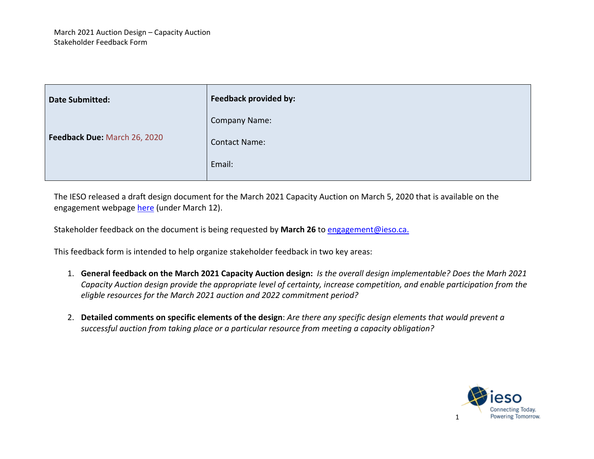| <b>Date Submitted:</b>       | Feedback provided by: |
|------------------------------|-----------------------|
| Feedback Due: March 26, 2020 | <b>Company Name:</b>  |
|                              | <b>Contact Name:</b>  |
|                              | Email:                |

The IESO released a draft design document for the March 2021 Capacity Auction on March 5, 2020 that is available on the engagement webpage [here](http://www.ieso.ca/en/Sector-Participants/Engagement-Initiatives/Engagements/Capacity-Auction) (under March 12).

Stakeholder feedback on the document is being requested by **March 26** to [engagement@ieso.ca.](mailto:engagement@ieso.ca)

This feedback form is intended to help organize stakeholder feedback in two key areas:

- 1. **General feedback on the March 2021 Capacity Auction design:** *Is the overall design implementable? Does the Marh 2021 Capacity Auction design provide the appropriate level of certainty, increase competition, and enable participation from the eligble resources for the March 2021 auction and 2022 commitment period?*
- 2. **Detailed comments on specific elements of the design**: *Are there any specific design elements that would prevent a successful auction from taking place or a particular resource from meeting a capacity obligation?*

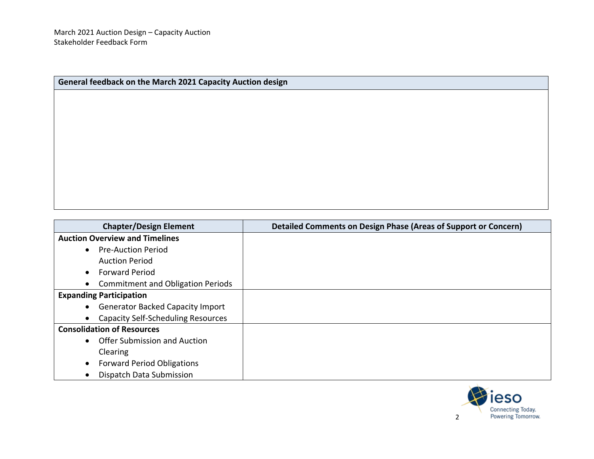| General feedback on the March 2021 Capacity Auction design |  |  |
|------------------------------------------------------------|--|--|
|                                                            |  |  |
|                                                            |  |  |
|                                                            |  |  |
|                                                            |  |  |
|                                                            |  |  |
|                                                            |  |  |
|                                                            |  |  |
|                                                            |  |  |
|                                                            |  |  |
|                                                            |  |  |

| <b>Chapter/Design Element</b>                          | Detailed Comments on Design Phase (Areas of Support or Concern) |
|--------------------------------------------------------|-----------------------------------------------------------------|
| <b>Auction Overview and Timelines</b>                  |                                                                 |
| • Pre-Auction Period                                   |                                                                 |
| <b>Auction Period</b>                                  |                                                                 |
| <b>Forward Period</b><br>$\bullet$                     |                                                                 |
| <b>Commitment and Obligation Periods</b><br>$\bullet$  |                                                                 |
| <b>Expanding Participation</b>                         |                                                                 |
| • Generator Backed Capacity Import                     |                                                                 |
| <b>Capacity Self-Scheduling Resources</b><br>$\bullet$ |                                                                 |
| <b>Consolidation of Resources</b>                      |                                                                 |
| • Offer Submission and Auction                         |                                                                 |
| Clearing                                               |                                                                 |
| <b>Forward Period Obligations</b>                      |                                                                 |
| Dispatch Data Submission                               |                                                                 |

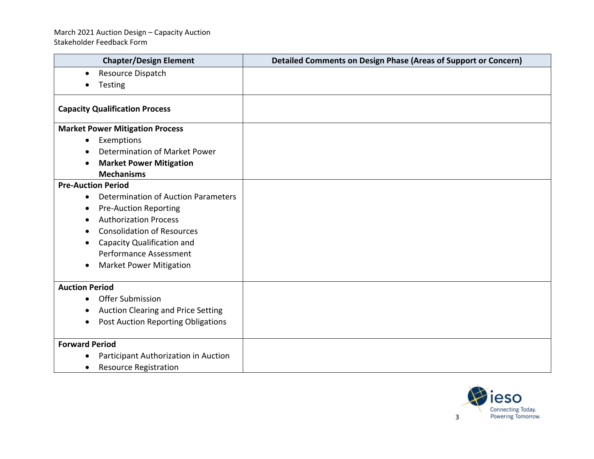## March 2021 Auction Design – Capacity Auction Stakeholder Feedback Form

| <b>Chapter/Design Element</b>                    | <b>Detailed Comments on Design Phase (Areas of Support or Concern)</b> |
|--------------------------------------------------|------------------------------------------------------------------------|
| Resource Dispatch<br>$\bullet$                   |                                                                        |
| Testing<br>$\bullet$                             |                                                                        |
| <b>Capacity Qualification Process</b>            |                                                                        |
| <b>Market Power Mitigation Process</b>           |                                                                        |
| Exemptions<br>$\bullet$                          |                                                                        |
| Determination of Market Power                    |                                                                        |
| <b>Market Power Mitigation</b><br>$\bullet$      |                                                                        |
| <b>Mechanisms</b>                                |                                                                        |
| <b>Pre-Auction Period</b>                        |                                                                        |
| Determination of Auction Parameters<br>$\bullet$ |                                                                        |
| <b>Pre-Auction Reporting</b><br>$\bullet$        |                                                                        |
| <b>Authorization Process</b><br>$\bullet$        |                                                                        |
| <b>Consolidation of Resources</b><br>$\bullet$   |                                                                        |
| Capacity Qualification and<br>$\bullet$          |                                                                        |
| <b>Performance Assessment</b>                    |                                                                        |
| <b>Market Power Mitigation</b><br>$\bullet$      |                                                                        |
| <b>Auction Period</b>                            |                                                                        |
| Offer Submission<br>$\bullet$                    |                                                                        |
| Auction Clearing and Price Setting<br>$\bullet$  |                                                                        |
| Post Auction Reporting Obligations<br>$\bullet$  |                                                                        |
| <b>Forward Period</b>                            |                                                                        |
| Participant Authorization in Auction             |                                                                        |
| <b>Resource Registration</b><br>$\bullet$        |                                                                        |